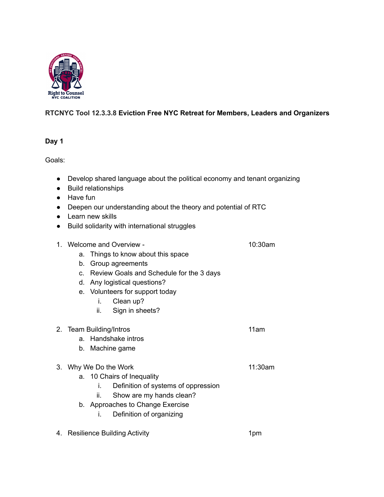

## **RTCNYC Tool 12.3.3.8 Eviction Free NYC Retreat for Members, Leaders and Organizers**

## **Day 1**

Goals:

- Develop shared language about the political economy and tenant organizing
- Build relationships
- Have fun
- Deepen our understanding about the theory and potential of RTC
- Learn new skills
- Build solidarity with international struggles

| 1. Welcome and Overview - | 10:30am                                                    |         |
|---------------------------|------------------------------------------------------------|---------|
|                           | Things to know about this space<br>a.                      |         |
|                           | Group agreements<br>b.                                     |         |
|                           | Review Goals and Schedule for the 3 days<br>C <sub>1</sub> |         |
|                           | Any logistical questions?<br>d.                            |         |
|                           | e. Volunteers for support today                            |         |
|                           | Clean up?<br>i.                                            |         |
|                           | Sign in sheets?<br>ii.                                     |         |
|                           | 2. Team Building/Intros                                    | 11am    |
|                           | Handshake intros<br>a.                                     |         |
|                           | Machine game<br>b.                                         |         |
| 3.                        | Why We Do the Work                                         | 11:30am |
|                           | a. 10 Chairs of Inequality                                 |         |
|                           | Definition of systems of oppression<br>İ.                  |         |
|                           | Show are my hands clean?<br>ii.                            |         |
|                           | b. Approaches to Change Exercise                           |         |
|                           | Definition of organizing<br>İ.                             |         |
|                           | 4. Resilience Building Activity                            | 1pm     |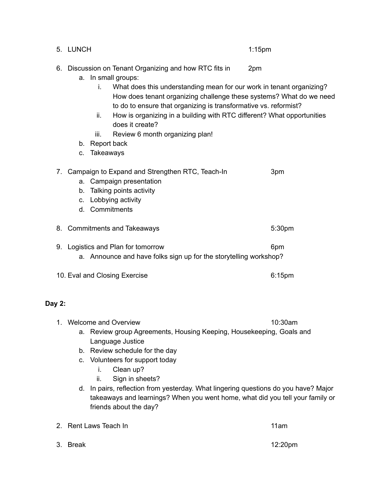|        | 5. LUNCH                                                                                                       |                                                                                                                                                                                                                                                                                                                                                                                                                                                                                   | $1:15$ pm |
|--------|----------------------------------------------------------------------------------------------------------------|-----------------------------------------------------------------------------------------------------------------------------------------------------------------------------------------------------------------------------------------------------------------------------------------------------------------------------------------------------------------------------------------------------------------------------------------------------------------------------------|-----------|
| 6.     | C.                                                                                                             | Discussion on Tenant Organizing and how RTC fits in<br>a. In small groups:<br>What does this understanding mean for our work in tenant organizing?<br>i.<br>How does tenant organizing challenge these systems? What do we need<br>to do to ensure that organizing is transformative vs. reformist?<br>How is organizing in a building with RTC different? What opportunities<br>ii.<br>does it create?<br>iii.<br>Review 6 month organizing plan!<br>b. Report back<br>Takeaways | 2pm       |
| 7.     |                                                                                                                | Campaign to Expand and Strengthen RTC, Teach-In<br>a. Campaign presentation<br>b. Talking points activity<br>c. Lobbying activity<br>d. Commitments                                                                                                                                                                                                                                                                                                                               | 3pm       |
| 8.     | <b>Commitments and Takeaways</b>                                                                               |                                                                                                                                                                                                                                                                                                                                                                                                                                                                                   | 5:30pm    |
|        | 9. Logistics and Plan for tomorrow<br>6pm<br>a. Announce and have folks sign up for the storytelling workshop? |                                                                                                                                                                                                                                                                                                                                                                                                                                                                                   |           |
|        |                                                                                                                | 10. Eval and Closing Exercise                                                                                                                                                                                                                                                                                                                                                                                                                                                     | 6:15pm    |
| Day 2: |                                                                                                                |                                                                                                                                                                                                                                                                                                                                                                                                                                                                                   |           |
|        | d.                                                                                                             | 1. Welcome and Overview<br>a. Review group Agreements, Housing Keeping, Housekeeping, Goals and<br>Language Justice<br>b. Review schedule for the day<br>c. Volunteers for support today<br>Clean up?<br>i.<br>Sign in sheets?<br>ii.<br>In pairs, reflection from yesterday. What lingering questions do you have? Major<br>takeaways and learnings? When you went home, what did you tell your family or                                                                        | 10:30am   |

2. Rent Laws Teach In 11am

friends about the day?

3. Break 12:20pm